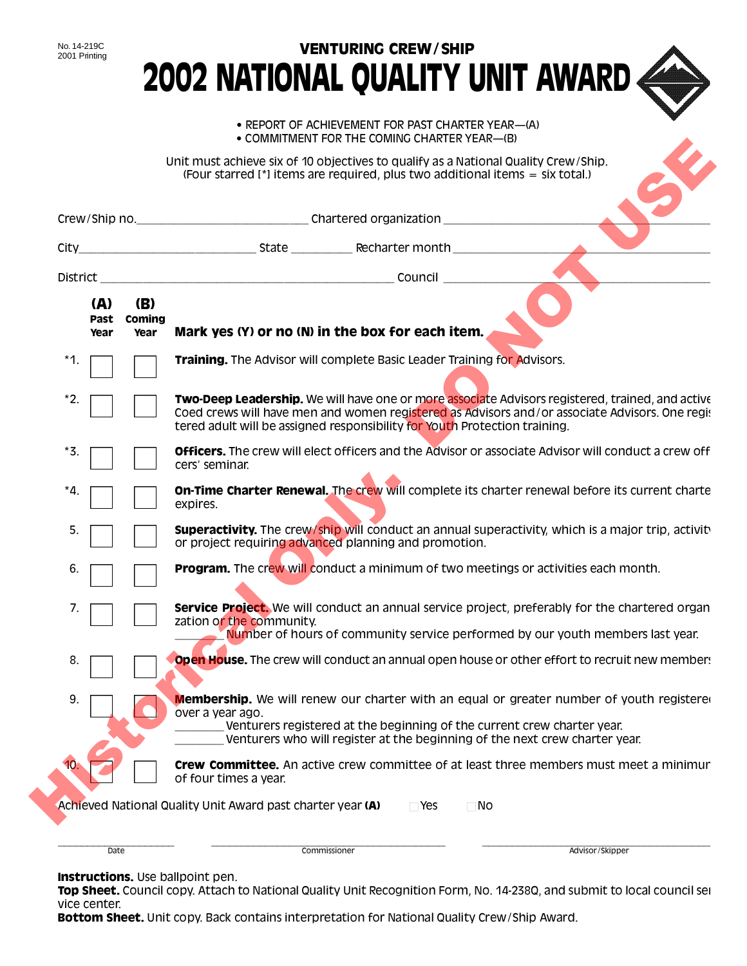|                     |                       | • REPORT OF ACHIEVEMENT FOR PAST CHARTER YEAR—(A)<br>• COMMITMENT FOR THE COMING CHARTER YEAR—(B)                                                                                                                                                                                |
|---------------------|-----------------------|----------------------------------------------------------------------------------------------------------------------------------------------------------------------------------------------------------------------------------------------------------------------------------|
|                     |                       | Unit must achieve six of 10 objectives to qualify as a National Quality Crew/Ship.<br>(Four starred [*] items are required, plus two additional items = six total.)                                                                                                              |
|                     |                       |                                                                                                                                                                                                                                                                                  |
|                     |                       |                                                                                                                                                                                                                                                                                  |
|                     |                       |                                                                                                                                                                                                                                                                                  |
| (A)<br>Past<br>Year | (B)<br>Coming<br>Year | Mark yes (Y) or no (N) in the box for each item.                                                                                                                                                                                                                                 |
| *1.                 |                       | Training. The Advisor will complete Basic Leader Training for Advisors.                                                                                                                                                                                                          |
| $^*2.$              |                       | Two-Deep Leadership. We will have one or more associate Advisors registered, trained, and active<br>Coed crews will have men and women registered as Advisors and/or associate Advisors. One regit<br>tered adult will be assigned responsibility for Youth Protection training. |
| *3.                 |                       | <b>Officers.</b> The crew will elect officers and the Advisor or associate Advisor will conduct a crew off<br>cers' seminar.                                                                                                                                                     |
| *4.                 |                       | <b>On-Time Charter Renewal.</b> The crew will complete its charter renewal before its current charte<br>expires.                                                                                                                                                                 |
| 5.                  |                       | <b>Superactivity.</b> The crew/ship will conduct an annual superactivity, which is a major trip, activit<br>or project requiring advanced planning and promotion.                                                                                                                |
| 6.                  |                       | <b>Program.</b> The crew will conduct a minimum of two meetings or activities each month.                                                                                                                                                                                        |
| 7.                  |                       | <b>Service Project.</b> We will conduct an annual service project, preferably for the chartered organ<br>zation or the community.                                                                                                                                                |
| 8.                  |                       | Number of hours of community service performed by our youth members last year.<br><b>Open House.</b> The crew will conduct an annual open house or other effort to recruit new member.                                                                                           |
| 9.                  |                       | <b>Membership.</b> We will renew our charter with an equal or greater number of youth registere<br>over a year ago.<br>Venturers registered at the beginning of the current crew charter year.<br>Venturers who will register at the beginning of the next crew charter year.    |
|                     |                       | <b>Crew Committee.</b> An active crew committee of at least three members must meet a minimur<br>of four times a year.                                                                                                                                                           |

Instructions. Use ballpoint pen.

Top Sheet. Council copy. Attach to National Quality Unit Recognition Form, No. 14-238Q, and submit to local council ser vice center.

Bottom Sheet. Unit copy. Back contains interpretation for National Quality Crew/Ship Award.